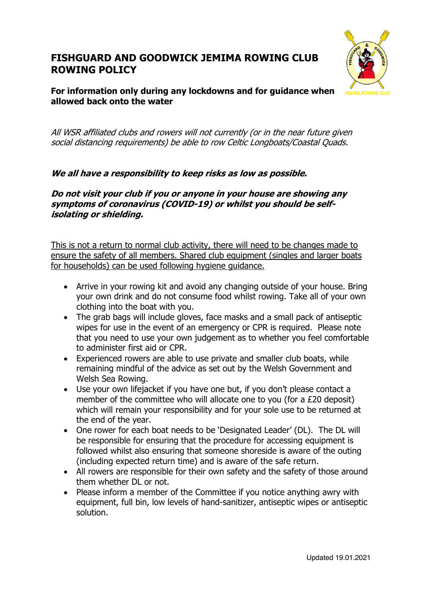# **FISHGUARD AND GOODWICK JEMIMA ROWING CLUB ROWING POLICY**



# **For information only during any lockdowns and for guidance when allowed back onto the water**

All WSR affiliated clubs and rowers will not currently (or in the near future given social distancing requirements) be able to row Celtic Longboats/Coastal Quads.

# **We all have a responsibility to keep risks as low as possible.**

#### **Do not visit your club if you or anyone in your house are showing any symptoms of coronavirus (COVID-19) or whilst you should be selfisolating or shielding.**

This is not a return to normal club activity, there will need to be changes made to ensure the safety of all members. Shared club equipment (singles and larger boats for households) can be used following hygiene guidance.

- Arrive in your rowing kit and avoid any changing outside of your house. Bring your own drink and do not consume food whilst rowing. Take all of your own clothing into the boat with you.
- The grab bags will include gloves, face masks and a small pack of antiseptic wipes for use in the event of an emergency or CPR is required. Please note that you need to use your own judgement as to whether you feel comfortable to administer first aid or CPR.
- Experienced rowers are able to use private and smaller club boats, while remaining mindful of the advice as set out by the Welsh Government and Welsh Sea Rowing.
- Use your own lifejacket if you have one but, if you don't please contact a member of the committee who will allocate one to you (for a £20 deposit) which will remain your responsibility and for your sole use to be returned at the end of the year.
- One rower for each boat needs to be 'Designated Leader' (DL). The DL will be responsible for ensuring that the procedure for accessing equipment is followed whilst also ensuring that someone shoreside is aware of the outing (including expected return time) and is aware of the safe return.
- All rowers are responsible for their own safety and the safety of those around them whether DL or not.
- Please inform a member of the Committee if you notice anything awry with equipment, full bin, low levels of hand-sanitizer, antiseptic wipes or antiseptic solution.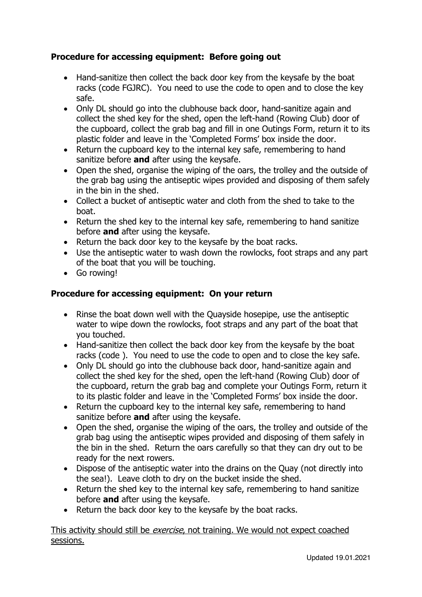# **Procedure for accessing equipment: Before going out**

- Hand-sanitize then collect the back door key from the keysafe by the boat racks (code FGJRC). You need to use the code to open and to close the key safe.
- Only DL should go into the clubhouse back door, hand-sanitize again and collect the shed key for the shed, open the left-hand (Rowing Club) door of the cupboard, collect the grab bag and fill in one Outings Form, return it to its plastic folder and leave in the 'Completed Forms' box inside the door.
- Return the cupboard key to the internal key safe, remembering to hand sanitize before **and** after using the keysafe.
- Open the shed, organise the wiping of the oars, the trolley and the outside of the grab bag using the antiseptic wipes provided and disposing of them safely in the bin in the shed.
- Collect a bucket of antiseptic water and cloth from the shed to take to the boat.
- Return the shed key to the internal key safe, remembering to hand sanitize before **and** after using the keysafe.
- Return the back door key to the keysafe by the boat racks.
- Use the antiseptic water to wash down the rowlocks, foot straps and any part of the boat that you will be touching.
- Go rowing!

# **Procedure for accessing equipment: On your return**

- Rinse the boat down well with the Quayside hosepipe, use the antiseptic water to wipe down the rowlocks, foot straps and any part of the boat that you touched.
- Hand-sanitize then collect the back door key from the keysafe by the boat racks (code ). You need to use the code to open and to close the key safe.
- Only DL should go into the clubhouse back door, hand-sanitize again and collect the shed key for the shed, open the left-hand (Rowing Club) door of the cupboard, return the grab bag and complete your Outings Form, return it to its plastic folder and leave in the 'Completed Forms' box inside the door.
- Return the cupboard key to the internal key safe, remembering to hand sanitize before **and** after using the keysafe.
- Open the shed, organise the wiping of the oars, the trolley and outside of the grab bag using the antiseptic wipes provided and disposing of them safely in the bin in the shed. Return the oars carefully so that they can dry out to be ready for the next rowers.
- Dispose of the antiseptic water into the drains on the Quay (not directly into the sea!). Leave cloth to dry on the bucket inside the shed.
- Return the shed key to the internal key safe, remembering to hand sanitize before **and** after using the keysafe.
- Return the back door key to the keysafe by the boat racks.

This activity should still be *exercise*, not training. We would not expect coached sessions.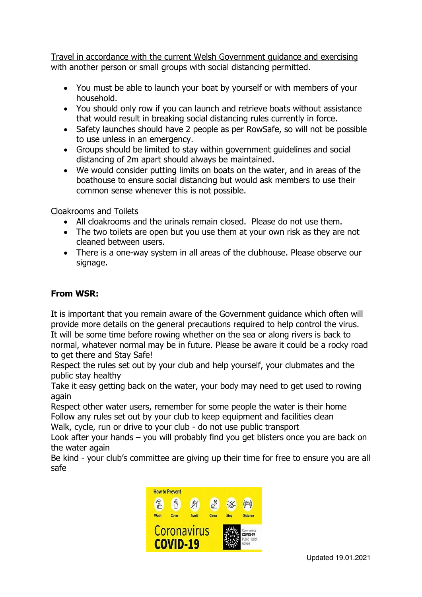Travel in accordance with the current Welsh Government guidance and exercising with another person or small groups with social distancing permitted.

- You must be able to launch your boat by yourself or with members of your household.
- You should only row if you can launch and retrieve boats without assistance that would result in breaking social distancing rules currently in force.
- Safety launches should have 2 people as per RowSafe, so will not be possible to use unless in an emergency.
- Groups should be limited to stay within government guidelines and social distancing of 2m apart should always be maintained.
- We would consider putting limits on boats on the water, and in areas of the boathouse to ensure social distancing but would ask members to use their common sense whenever this is not possible.

Cloakrooms and Toilets

- All cloakrooms and the urinals remain closed. Please do not use them.
- The two toilets are open but you use them at your own risk as they are not cleaned between users.
- There is a one-way system in all areas of the clubhouse. Please observe our signage.

# **From WSR:**

It is important that you remain aware of the Government guidance which often will provide more details on the general precautions required to help control the virus. It will be some time before rowing whether on the sea or along rivers is back to normal, whatever normal may be in future. Please be aware it could be a rocky road to get there and Stay Safe!

Respect the rules set out by your club and help yourself, your clubmates and the public stay healthy

Take it easy getting back on the water, your body may need to get used to rowing again

Respect other water users, remember for some people the water is their home Follow any rules set out by your club to keep equipment and facilities clean

Walk, cycle, run or drive to your club - do not use public transport

Look after your hands – you will probably find you get blisters once you are back on the water again

Be kind - your club's committee are giving up their time for free to ensure you are all safe